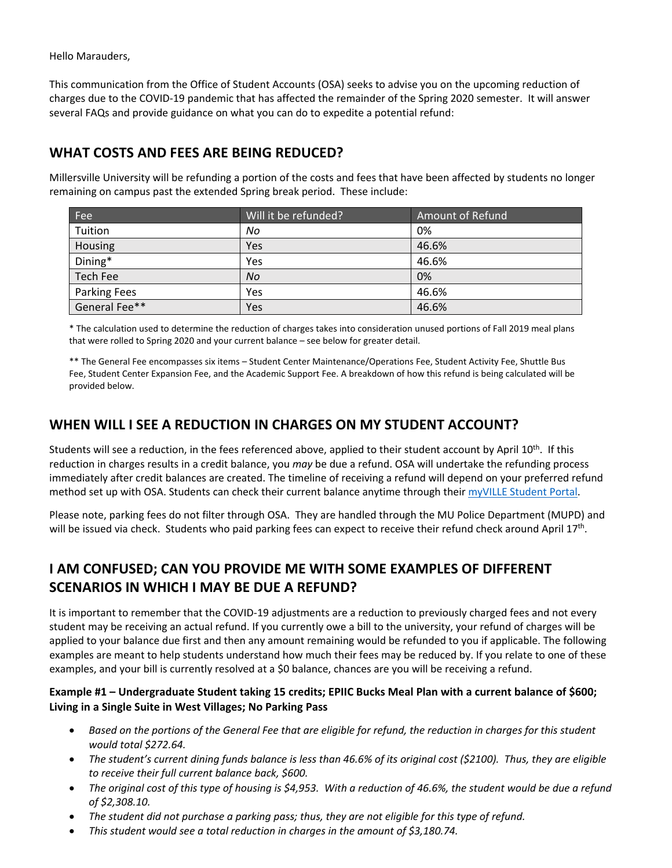Hello Marauders,

This communication from the Office of Student Accounts (OSA) seeks to advise you on the upcoming reduction of charges due to the COVID-19 pandemic that has affected the remainder of the Spring 2020 semester. It will answer several FAQs and provide guidance on what you can do to expedite a potential refund:

## **WHAT COSTS AND FEES ARE BEING REDUCED?**

Millersville University will be refunding a portion of the costs and fees that have been affected by students no longer remaining on campus past the extended Spring break period. These include:

| Fee           | Will it be refunded? | Amount of Refund |
|---------------|----------------------|------------------|
| Tuition       | No                   | 0%               |
| Housing       | Yes                  | 46.6%            |
| Dining*       | Yes                  | 46.6%            |
| Tech Fee      | No                   | 0%               |
| Parking Fees  | Yes                  | 46.6%            |
| General Fee** | Yes                  | 46.6%            |

\* The calculation used to determine the reduction of charges takes into consideration unused portions of Fall 2019 meal plans that were rolled to Spring 2020 and your current balance – see below for greater detail.

\*\* The General Fee encompasses six items – Student Center Maintenance/Operations Fee, Student Activity Fee, Shuttle Bus Fee, Student Center Expansion Fee, and the Academic Support Fee. A breakdown of how this refund is being calculated will be provided below.

# **WHEN WILL I SEE A REDUCTION IN CHARGES ON MY STUDENT ACCOUNT?**

Students will see a reduction, in the fees referenced above, applied to their student account by April 10<sup>th</sup>. If this reduction in charges results in a credit balance, you *may* be due a refund. OSA will undertake the refunding process immediately after credit balances are created. The timeline of receiving a refund will depend on your preferred refund method set up with OSA. Students can check their current balance anytime through their [myVILLE Student Portal.](https://ecas.millersville.edu/cas/login?service=https%3A%2F%2Fmy5.millersville.edu%2Fc%2Fportal%2Flogin)

Please note, parking fees do not filter through OSA. They are handled through the MU Police Department (MUPD) and will be issued via check. Students who paid parking fees can expect to receive their refund check around April  $17<sup>th</sup>$ .

# **I AM CONFUSED; CAN YOU PROVIDE ME WITH SOME EXAMPLES OF DIFFERENT SCENARIOS IN WHICH I MAY BE DUE A REFUND?**

It is important to remember that the COVID-19 adjustments are a reduction to previously charged fees and not every student may be receiving an actual refund. If you currently owe a bill to the university, your refund of charges will be applied to your balance due first and then any amount remaining would be refunded to you if applicable. The following examples are meant to help students understand how much their fees may be reduced by. If you relate to one of these examples, and your bill is currently resolved at a \$0 balance, chances are you will be receiving a refund.

#### **Example #1 – Undergraduate Student taking 15 credits; EPIIC Bucks Meal Plan with a current balance of \$600; Living in a Single Suite in West Villages; No Parking Pass**

- *Based on the portions of the General Fee that are eligible for refund, the reduction in charges for this student would total \$272.64.*
- *The student's current dining funds balance is less than 46.6% of its original cost (\$2100). Thus, they are eligible to receive their full current balance back, \$600.*
- *The original cost of this type of housing is \$4,953. With a reduction of 46.6%, the student would be due a refund of \$2,308.10.*
- *The student did not purchase a parking pass; thus, they are not eligible for this type of refund.*
- *This student would see a total reduction in charges in the amount of \$3,180.74.*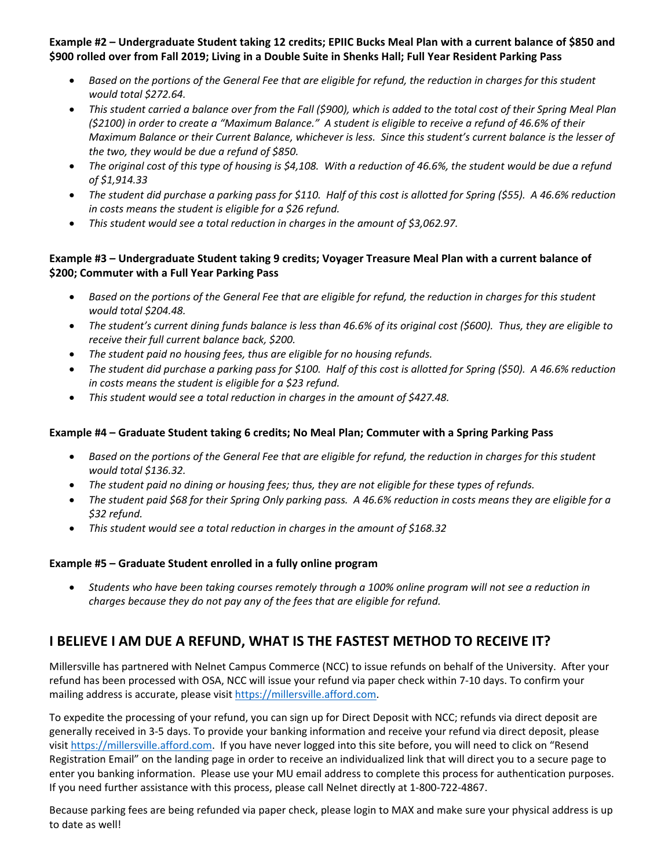**Example #2 – Undergraduate Student taking 12 credits; EPIIC Bucks Meal Plan with a current balance of \$850 and \$900 rolled over from Fall 2019; Living in a Double Suite in Shenks Hall; Full Year Resident Parking Pass**

- *Based on the portions of the General Fee that are eligible for refund, the reduction in charges for this student would total \$272.64.*
- *This student carried a balance over from the Fall (\$900), which is added to the total cost of their Spring Meal Plan (\$2100) in order to create a "Maximum Balance." A student is eligible to receive a refund of 46.6% of their Maximum Balance or their Current Balance, whichever is less. Since this student's current balance is the lesser of the two, they would be due a refund of \$850.*
- *The original cost of this type of housing is \$4,108. With a reduction of 46.6%, the student would be due a refund of \$1,914.33*
- *The student did purchase a parking pass for \$110. Half of this cost is allotted for Spring (\$55). A 46.6% reduction in costs means the student is eligible for a \$26 refund.*
- *This student would see a total reduction in charges in the amount of \$3,062.97.*

#### **Example #3 – Undergraduate Student taking 9 credits; Voyager Treasure Meal Plan with a current balance of \$200; Commuter with a Full Year Parking Pass**

- *Based on the portions of the General Fee that are eligible for refund, the reduction in charges for this student would total \$204.48.*
- *The student's current dining funds balance is less than 46.6% of its original cost (\$600). Thus, they are eligible to receive their full current balance back, \$200.*
- *The student paid no housing fees, thus are eligible for no housing refunds.*
- *The student did purchase a parking pass for \$100. Half of this cost is allotted for Spring (\$50). A 46.6% reduction in costs means the student is eligible for a \$23 refund.*
- *This student would see a total reduction in charges in the amount of \$427.48.*

#### **Example #4 – Graduate Student taking 6 credits; No Meal Plan; Commuter with a Spring Parking Pass**

- *Based on the portions of the General Fee that are eligible for refund, the reduction in charges for this student would total \$136.32.*
- *The student paid no dining or housing fees; thus, they are not eligible for these types of refunds.*
- *The student paid \$68 for their Spring Only parking pass. A 46.6% reduction in costs means they are eligible for a \$32 refund.*
- *This student would see a total reduction in charges in the amount of \$168.32*

#### **Example #5 – Graduate Student enrolled in a fully online program**

• *Students who have been taking courses remotely through a 100% online program will not see a reduction in charges because they do not pay any of the fees that are eligible for refund.* 

# **I BELIEVE I AM DUE A REFUND, WHAT IS THE FASTEST METHOD TO RECEIVE IT?**

Millersville has partnered with Nelnet Campus Commerce (NCC) to issue refunds on behalf of the University. After your refund has been processed with OSA, NCC will issue your refund via paper check within 7-10 days. To confirm your mailing address is accurate, please visit [https://millersville.afford.com.](https://millersville.afford.com/)

To expedite the processing of your refund, you can sign up for Direct Deposit with NCC; refunds via direct deposit are generally received in 3-5 days. To provide your banking information and receive your refund via direct deposit, please visi[t https://millersville.afford.com.](https://millersville.afford.com/) If you have never logged into this site before, you will need to click on "Resend Registration Email" on the landing page in order to receive an individualized link that will direct you to a secure page to enter you banking information. Please use your MU email address to complete this process for authentication purposes. If you need further assistance with this process, please call Nelnet directly at 1-800-722-4867.

Because parking fees are being refunded via paper check, please login to MAX and make sure your physical address is up to date as well!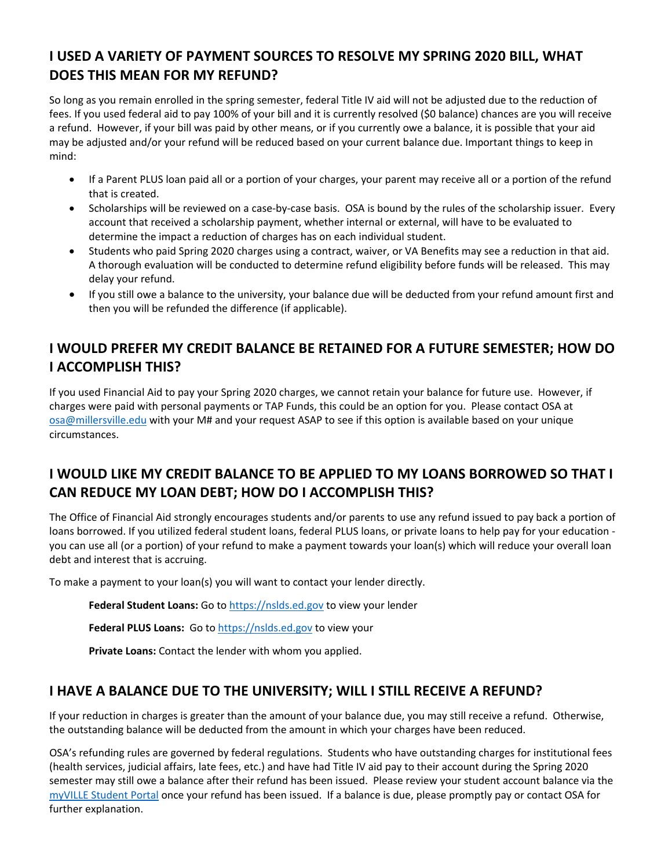# **I USED A VARIETY OF PAYMENT SOURCES TO RESOLVE MY SPRING 2020 BILL, WHAT DOES THIS MEAN FOR MY REFUND?**

So long as you remain enrolled in the spring semester, federal Title IV aid will not be adjusted due to the reduction of fees. If you used federal aid to pay 100% of your bill and it is currently resolved (\$0 balance) chances are you will receive a refund. However, if your bill was paid by other means, or if you currently owe a balance, it is possible that your aid may be adjusted and/or your refund will be reduced based on your current balance due. Important things to keep in mind:

- If a Parent PLUS loan paid all or a portion of your charges, your parent may receive all or a portion of the refund that is created.
- Scholarships will be reviewed on a case-by-case basis. OSA is bound by the rules of the scholarship issuer. Every account that received a scholarship payment, whether internal or external, will have to be evaluated to determine the impact a reduction of charges has on each individual student.
- Students who paid Spring 2020 charges using a contract, waiver, or VA Benefits may see a reduction in that aid. A thorough evaluation will be conducted to determine refund eligibility before funds will be released. This may delay your refund.
- If you still owe a balance to the university, your balance due will be deducted from your refund amount first and then you will be refunded the difference (if applicable).

# **I WOULD PREFER MY CREDIT BALANCE BE RETAINED FOR A FUTURE SEMESTER; HOW DO I ACCOMPLISH THIS?**

If you used Financial Aid to pay your Spring 2020 charges, we cannot retain your balance for future use. However, if charges were paid with personal payments or TAP Funds, this could be an option for you. Please contact OSA at [osa@millersville.edu](mailto:osa@millersville.edu) with your M# and your request ASAP to see if this option is available based on your unique circumstances.

# **I WOULD LIKE MY CREDIT BALANCE TO BE APPLIED TO MY LOANS BORROWED SO THAT I CAN REDUCE MY LOAN DEBT; HOW DO I ACCOMPLISH THIS?**

The Office of Financial Aid strongly encourages students and/or parents to use any refund issued to pay back a portion of loans borrowed. If you utilized federal student loans, federal PLUS loans, or private loans to help pay for your education you can use all (or a portion) of your refund to make a payment towards your loan(s) which will reduce your overall loan debt and interest that is accruing.

To make a payment to your loan(s) you will want to contact your lender directly.

Federal Student Loans: Go to [https://nslds.ed.gov](https://nslds.ed.gov/) to view your lender

Federal PLUS Loans: Go to [https://nslds.ed.gov](https://nslds.ed.gov/) to view your

**Private Loans:** Contact the lender with whom you applied.

#### **I HAVE A BALANCE DUE TO THE UNIVERSITY; WILL I STILL RECEIVE A REFUND?**

If your reduction in charges is greater than the amount of your balance due, you may still receive a refund. Otherwise, the outstanding balance will be deducted from the amount in which your charges have been reduced.

OSA's refunding rules are governed by federal regulations. Students who have outstanding charges for institutional fees (health services, judicial affairs, late fees, etc.) and have had Title IV aid pay to their account during the Spring 2020 semester may still owe a balance after their refund has been issued. Please review your student account balance via the [myVILLE Student Portal](https://ecas.millersville.edu/cas/login?service=https%3A%2F%2Fmy5.millersville.edu%2Fc%2Fportal%2Flogin) once your refund has been issued. If a balance is due, please promptly pay or contact OSA for further explanation.